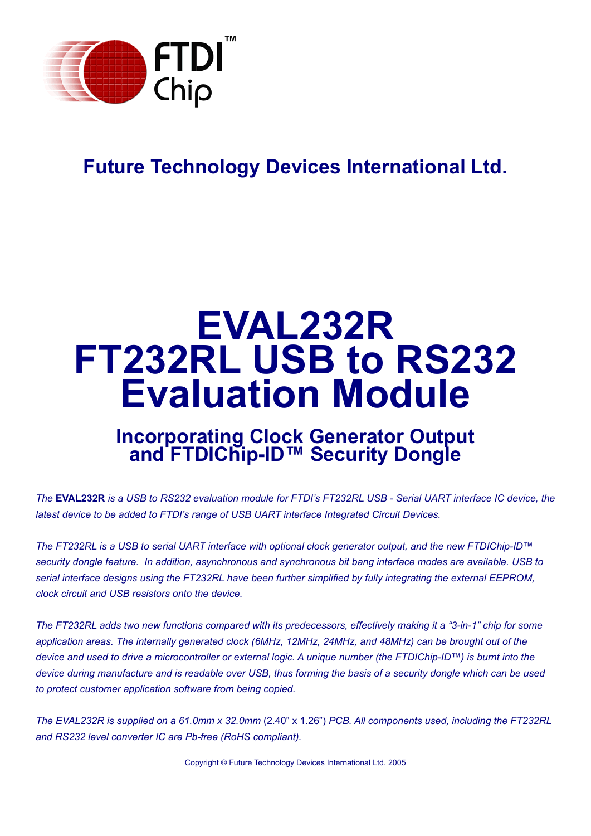

# **Future Technology Devices International Ltd.**

# **EVAL232R FT232RL USB to RS232 Evaluation Module**

## **Incorporating Clock Generator Output and FTDIChip-ID™ Security Dongle**

*The* **EVAL232R** *is a USB to RS232 evaluation module for FTDI's FT232RL USB - Serial UART interface IC device, the latest device to be added to FTDI's range of USB UART interface Integrated Circuit Devices.*

*The FT232RL is a USB to serial UART interface with optional clock generator output, and the new FTDIChip-ID™ security dongle feature. In addition, asynchronous and synchronous bit bang interface modes are available. USB to serial interface designs using the FT232RL have been further simplified by fully integrating the external EEPROM, clock circuit and USB resistors onto the device.*

*The FT232RL adds two new functions compared with its predecessors, effectively making it a "3-in-1" chip for some application areas. The internally generated clock (6MHz, 12MHz, 24MHz, and 48MHz) can be brought out of the device and used to drive a microcontroller or external logic. A unique number (the FTDIChip-ID™) is burnt into the device during manufacture and is readable over USB, thus forming the basis of a security dongle which can be used to protect customer application software from being copied.*

*The EVAL232R is supplied on a 61.0mm x 32.0mm* (2.40" x 1.26") *PCB. All components used, including the FT232RL and RS232 level converter IC are Pb-free (RoHS compliant).*

Copyright © Future Technology Devices International Ltd. 2005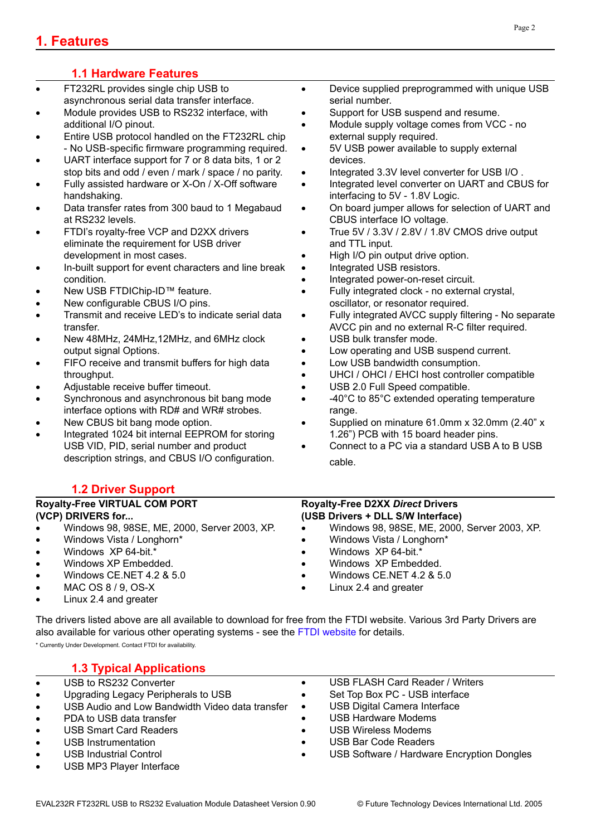## **1.1 Hardware Features**

- FT232RL provides single chip USB to asynchronous serial data transfer interface.
- Module provides USB to RS232 interface, with additional I/O pinout.
- Entire USB protocol handled on the FT232RL chip - No USB-specific firmware programming required.
- UART interface support for 7 or 8 data bits, 1 or 2 stop bits and odd / even / mark / space / no parity.
- Fully assisted hardware or X-On / X-Off software handshaking.
- Data transfer rates from 300 baud to 1 Megabaud at RS232 levels.
- FTDI's royalty-free VCP and D2XX drivers eliminate the requirement for USB driver development in most cases.
- In-built support for event characters and line break condition.
- New USB FTDIChip-ID™ feature.
- New configurable CBUS I/O pins.
- Transmit and receive LED's to indicate serial data transfer.
- New 48MHz, 24MHz,12MHz, and 6MHz clock output signal Options.
- FIFO receive and transmit buffers for high data throughput.
- Adjustable receive buffer timeout.
- Synchronous and asynchronous bit bang mode interface options with RD# and WR# strobes.
- New CBUS bit bang mode option.
- Integrated 1024 bit internal EEPROM for storing USB VID, PID, serial number and product description strings, and CBUS I/O configuration.

## **1.2 Driver Support**

#### **Royalty-Free VIRTUAL COM PORT (VCP) DRIVERS for...**

- Windows 98, 98SE, ME, 2000, Server 2003, XP.
- Windows Vista / Longhorn\*
- Windows XP 64-bit.\*
- Windows XP Embedded.
- Windows CE.NET 4.2 & 5.0
- MAC OS 8 / 9, OS-X
- Linux 2.4 and greater

• Device supplied preprogrammed with unique USB serial number.

- Support for USB suspend and resume.
- Module supply voltage comes from VCC no external supply required.
- 5V USB power available to supply external devices.
- Integrated 3.3V level converter for USB I/O .
- Integrated level converter on UART and CBUS for interfacing to 5V - 1.8V Logic.
- On board jumper allows for selection of UART and CBUS interface IO voltage.
- True 5V / 3.3V / 2.8V / 1.8V CMOS drive output and TTL input.
- High I/O pin output drive option.
- Integrated USB resistors.
- Integrated power-on-reset circuit.
- Fully integrated clock no external crystal, oscillator, or resonator required.
- Fully integrated AVCC supply filtering No separate AVCC pin and no external R-C filter required.
- USB bulk transfer mode.
- Low operating and USB suspend current.
- Low USB bandwidth consumption.
- UHCI / OHCI / EHCI host controller compatible
- USB 2.0 Full Speed compatible.
- -40°C to 85°C extended operating temperature range.
- Supplied on minature 61.0mm x 32.0mm (2.40" x 1.26") PCB with 15 board header pins.
- Connect to a PC via a standard USB A to B USB cable.

#### **Royalty-Free D2XX** *Direct* **Drivers (USB Drivers + DLL S/W Interface)**

- Windows 98, 98SE, ME, 2000, Server 2003, XP.
- Windows Vista / Longhorn\*
- Windows XP 64-bit.\*
- Windows XP Embedded.
- Windows CE.NET 4.2 & 5.0
- Linux 2.4 and greater

The drivers listed above are all available to download for free from the FTDI website. Various 3rd Party Drivers are also available for various other operating systems - see the [FTDI website](http://www.ftdichip.com) for details.

\* Currently Under Development. Contact FTDI for availability.

## **1.3 Typical Applications**

- USB to RS232 Converter
- Upgrading Legacy Peripherals to USB
- USB Audio and Low Bandwidth Video data transfer
- PDA to USB data transfer
- USB Smart Card Readers
- USB Instrumentation
- USB Industrial Control
- USB MP3 Player Interface
- USB FLASH Card Reader / Writers
- Set Top Box PC USB interface
- USB Digital Camera Interface
- USB Hardware Modems
- USB Wireless Modems
- USB Bar Code Readers
- USB Software / Hardware Encryption Dongles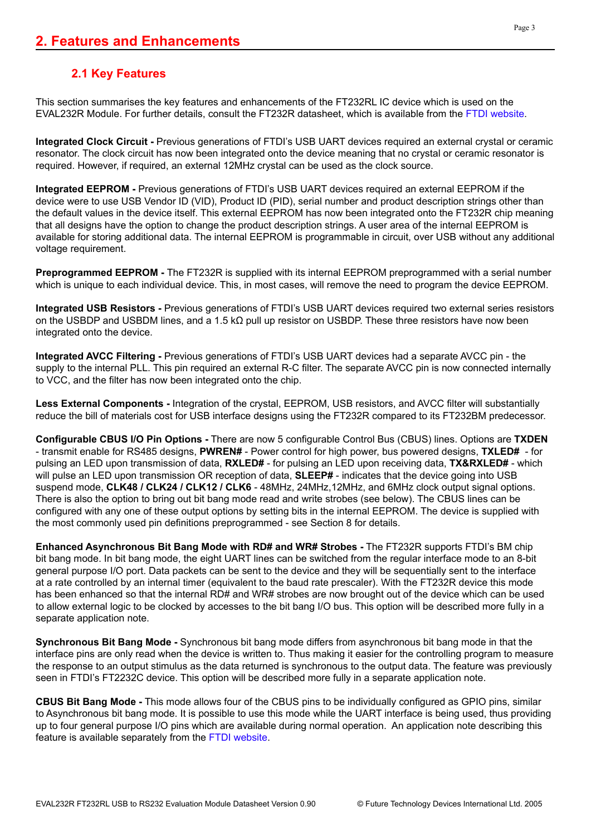## **2.1 Key Features**

This section summarises the key features and enhancements of the FT232RL IC device which is used on the EVAL232R Module. For further details, consult the FT232R datasheet, which is available from the [FTDI website](http://www.ftdichip.com).

**Integrated Clock Circuit -** Previous generations of FTDI's USB UART devices required an external crystal or ceramic resonator. The clock circuit has now been integrated onto the device meaning that no crystal or ceramic resonator is required. However, if required, an external 12MHz crystal can be used as the clock source.

**Integrated EEPROM -** Previous generations of FTDI's USB UART devices required an external EEPROM if the device were to use USB Vendor ID (VID), Product ID (PID), serial number and product description strings other than the default values in the device itself. This external EEPROM has now been integrated onto the FT232R chip meaning that all designs have the option to change the product description strings. A user area of the internal EEPROM is available for storing additional data. The internal EEPROM is programmable in circuit, over USB without any additional voltage requirement.

**Preprogrammed EEPROM -** The FT232R is supplied with its internal EEPROM preprogrammed with a serial number which is unique to each individual device. This, in most cases, will remove the need to program the device EEPROM.

**Integrated USB Resistors -** Previous generations of FTDI's USB UART devices required two external series resistors on the USBDP and USBDM lines, and a 1.5 kΩ pull up resistor on USBDP. These three resistors have now been integrated onto the device.

**Integrated AVCC Filtering -** Previous generations of FTDI's USB UART devices had a separate AVCC pin - the supply to the internal PLL. This pin required an external R-C filter. The separate AVCC pin is now connected internally to VCC, and the filter has now been integrated onto the chip.

**Less External Components -** Integration of the crystal, EEPROM, USB resistors, and AVCC filter will substantially reduce the bill of materials cost for USB interface designs using the FT232R compared to its FT232BM predecessor.

**Configurable CBUS I/O Pin Options -** There are now 5 configurable Control Bus (CBUS) lines. Options are **TXDEN** - transmit enable for RS485 designs, **PWREN#** - Power control for high power, bus powered designs, **TXLED#** - for pulsing an LED upon transmission of data, **RXLED#** - for pulsing an LED upon receiving data, **TX&RXLED#** - which will pulse an LED upon transmission OR reception of data, **SLEEP#** - indicates that the device going into USB suspend mode, **CLK48 / CLK24 / CLK12 / CLK6** - 48MHz, 24MHz,12MHz, and 6MHz clock output signal options. There is also the option to bring out bit bang mode read and write strobes (see below). The CBUS lines can be configured with any one of these output options by setting bits in the internal EEPROM. The device is supplied with the most commonly used pin definitions preprogrammed - see Section 8 for details.

**Enhanced Asynchronous Bit Bang Mode with RD# and WR# Strobes -** The FT232R supports FTDI's BM chip bit bang mode. In bit bang mode, the eight UART lines can be switched from the regular interface mode to an 8-bit general purpose I/O port. Data packets can be sent to the device and they will be sequentially sent to the interface at a rate controlled by an internal timer (equivalent to the baud rate prescaler). With the FT232R device this mode has been enhanced so that the internal RD# and WR# strobes are now brought out of the device which can be used to allow external logic to be clocked by accesses to the bit bang I/O bus. This option will be described more fully in a separate application note.

**Synchronous Bit Bang Mode -** Synchronous bit bang mode differs from asynchronous bit bang mode in that the interface pins are only read when the device is written to. Thus making it easier for the controlling program to measure the response to an output stimulus as the data returned is synchronous to the output data. The feature was previously seen in FTDI's FT2232C device. This option will be described more fully in a separate application note.

**CBUS Bit Bang Mode -** This mode allows four of the CBUS pins to be individually configured as GPIO pins, similar to Asynchronous bit bang mode. It is possible to use this mode while the UART interface is being used, thus providing up to four general purpose I/O pins which are available during normal operation. An application note describing this feature is available separately from the [FTDI website](http://www.ftdichip.com).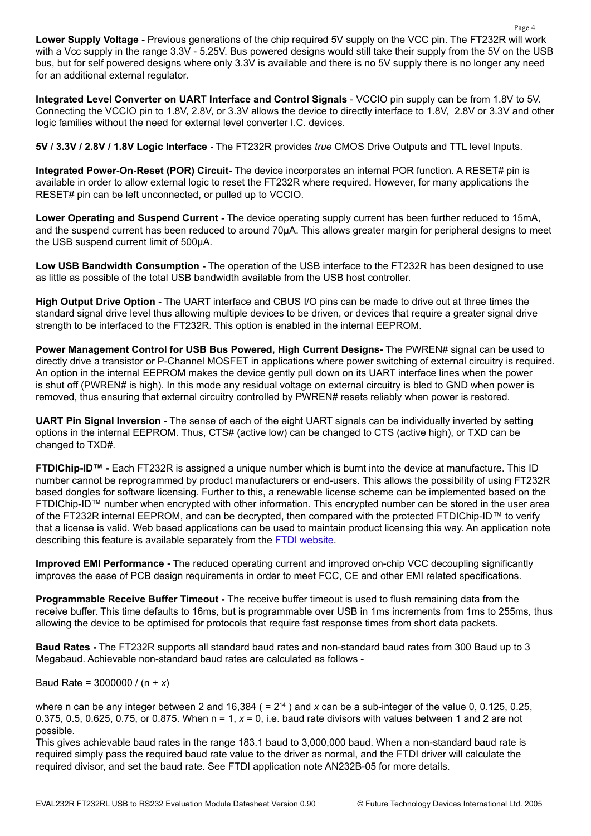**Lower Supply Voltage -** Previous generations of the chip required 5V supply on the VCC pin. The FT232R will work with a Vcc supply in the range 3.3V - 5.25V. Bus powered designs would still take their supply from the 5V on the USB bus, but for self powered designs where only 3.3V is available and there is no 5V supply there is no longer any need for an additional external regulator.

**Integrated Level Converter on UART Interface and Control Signals** - VCCIO pin supply can be from 1.8V to 5V. Connecting the VCCIO pin to 1.8V, 2.8V, or 3.3V allows the device to directly interface to 1.8V, 2.8V or 3.3V and other logic families without the need for external level converter I.C. devices.

**5V / 3.3V / 2.8V / 1.8V Logic Interface -** The FT232R provides *true* CMOS Drive Outputs and TTL level Inputs.

**Integrated Power-On-Reset (POR) Circuit-** The device incorporates an internal POR function. A RESET# pin is available in order to allow external logic to reset the FT232R where required. However, for many applications the RESET# pin can be left unconnected, or pulled up to VCCIO.

**Lower Operating and Suspend Current -** The device operating supply current has been further reduced to 15mA, and the suspend current has been reduced to around 70μA. This allows greater margin for peripheral designs to meet the USB suspend current limit of 500μA.

**Low USB Bandwidth Consumption -** The operation of the USB interface to the FT232R has been designed to use as little as possible of the total USB bandwidth available from the USB host controller.

**High Output Drive Option -** The UART interface and CBUS I/O pins can be made to drive out at three times the standard signal drive level thus allowing multiple devices to be driven, or devices that require a greater signal drive strength to be interfaced to the FT232R. This option is enabled in the internal EEPROM.

**Power Management Control for USB Bus Powered, High Current Designs-** The PWREN# signal can be used to directly drive a transistor or P-Channel MOSFET in applications where power switching of external circuitry is required. An option in the internal EEPROM makes the device gently pull down on its UART interface lines when the power is shut off (PWREN# is high). In this mode any residual voltage on external circuitry is bled to GND when power is removed, thus ensuring that external circuitry controlled by PWREN# resets reliably when power is restored.

**UART Pin Signal Inversion -** The sense of each of the eight UART signals can be individually inverted by setting options in the internal EEPROM. Thus, CTS# (active low) can be changed to CTS (active high), or TXD can be changed to TXD#.

**FTDIChip-ID™ -** Each FT232R is assigned a unique number which is burnt into the device at manufacture. This ID number cannot be reprogrammed by product manufacturers or end-users. This allows the possibility of using FT232R based dongles for software licensing. Further to this, a renewable license scheme can be implemented based on the FTDIChip-ID™ number when encrypted with other information. This encrypted number can be stored in the user area of the FT232R internal EEPROM, and can be decrypted, then compared with the protected FTDIChip-ID™ to verify that a license is valid. Web based applications can be used to maintain product licensing this way. An application note describing this feature is available separately from the [FTDI website](http://www.ftdichip.com).

**Improved EMI Performance -** The reduced operating current and improved on-chip VCC decoupling significantly improves the ease of PCB design requirements in order to meet FCC, CE and other EMI related specifications.

**Programmable Receive Buffer Timeout -** The receive buffer timeout is used to flush remaining data from the receive buffer. This time defaults to 16ms, but is programmable over USB in 1ms increments from 1ms to 255ms, thus allowing the device to be optimised for protocols that require fast response times from short data packets.

**Baud Rates -** The FT232R supports all standard baud rates and non-standard baud rates from 300 Baud up to 3 Megabaud. Achievable non-standard baud rates are calculated as follows -

Baud Rate = 3000000 / (n + *x*)

where n can be any integer between 2 and 16,384 ( =  $2^{14}$  ) and x can be a sub-integer of the value 0, 0.125, 0.25, 0.375, 0.5, 0.625, 0.75, or 0.875. When n = 1, *x* = 0, i.e. baud rate divisors with values between 1 and 2 are not possible.

This gives achievable baud rates in the range 183.1 baud to 3,000,000 baud. When a non-standard baud rate is required simply pass the required baud rate value to the driver as normal, and the FTDI driver will calculate the required divisor, and set the baud rate. See FTDI application note AN232B-05 for more details.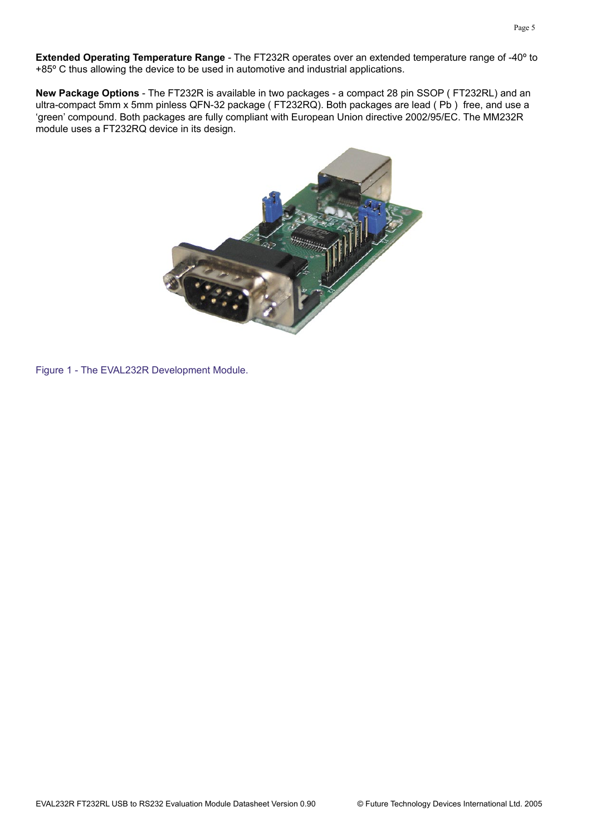**Extended Operating Temperature Range** - The FT232R operates over an extended temperature range of -40º to +85º C thus allowing the device to be used in automotive and industrial applications.

**New Package Options** - The FT232R is available in two packages - a compact 28 pin SSOP ( FT232RL) and an ultra-compact 5mm x 5mm pinless QFN-32 package ( FT232RQ). Both packages are lead ( Pb ) free, and use a 'green' compound. Both packages are fully compliant with European Union directive 2002/95/EC. The MM232R module uses a FT232RQ device in its design.



Figure 1 - The EVAL232R Development Module.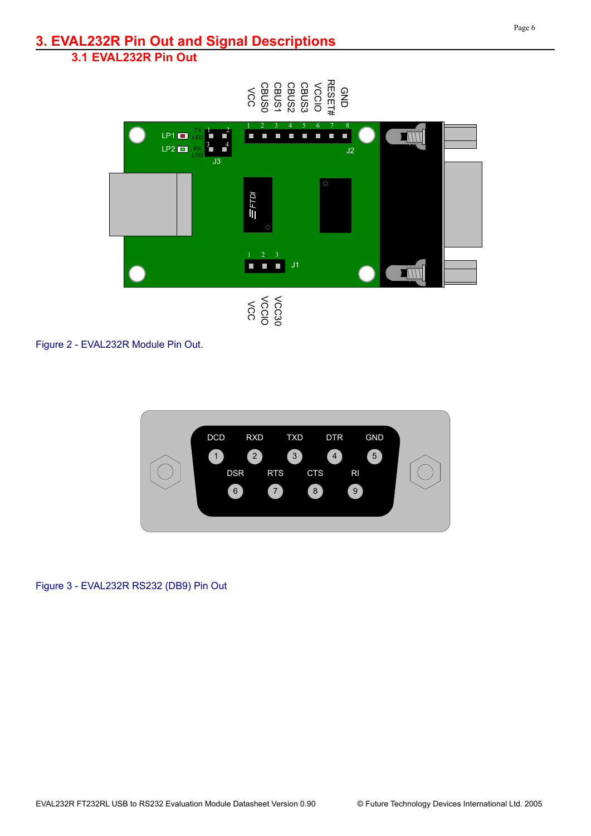## **3. EVAL232R Pin Out and Signal Descriptions**

## **3.1 EVAL232R Pin Out**



Figure 2 - EVAL232R Module Pin Out.



Figure 3 - EVAL232R RS232 (DB9) Pin Out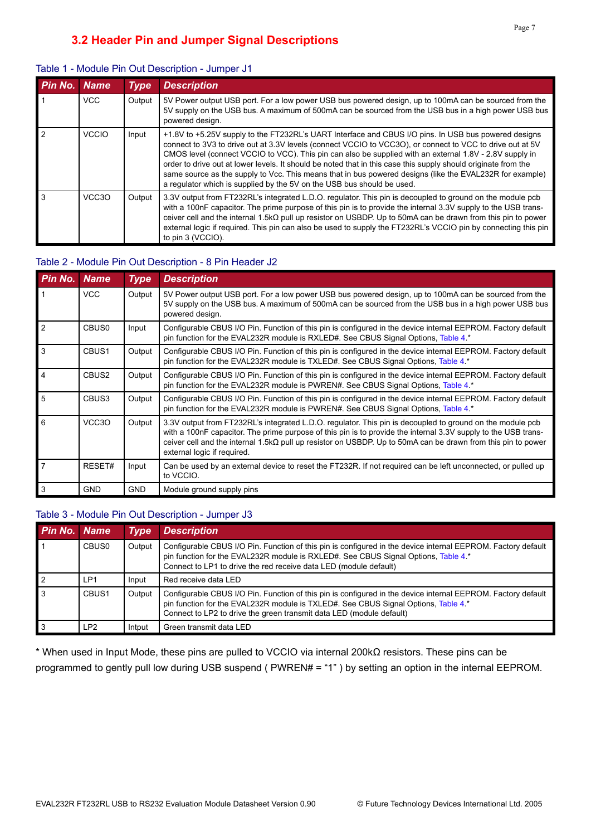| Pin No. Name   |                    | <b>Type</b> | <b>Description</b>                                                                                                                                                                                                                                                                                                                                                                                                                                                                                                                                                                                                                   |
|----------------|--------------------|-------------|--------------------------------------------------------------------------------------------------------------------------------------------------------------------------------------------------------------------------------------------------------------------------------------------------------------------------------------------------------------------------------------------------------------------------------------------------------------------------------------------------------------------------------------------------------------------------------------------------------------------------------------|
|                | <b>VCC</b>         | Output      | 5V Power output USB port. For a low power USB bus powered design, up to 100mA can be sourced from the<br>5V supply on the USB bus. A maximum of 500mA can be sourced from the USB bus in a high power USB bus<br>powered design.                                                                                                                                                                                                                                                                                                                                                                                                     |
| $\overline{2}$ | <b>VCCIO</b>       | Input       | +1.8V to +5.25V supply to the FT232RL's UART Interface and CBUS I/O pins. In USB bus powered designs<br>connect to 3V3 to drive out at 3.3V levels (connect VCCIO to VCC3O), or connect to VCC to drive out at 5V<br>CMOS level (connect VCCIO to VCC). This pin can also be supplied with an external 1.8V - 2.8V supply in<br>order to drive out at lower levels. It should be noted that in this case this supply should originate from the<br>same source as the supply to Vcc. This means that in bus powered designs (like the EVAL232R for example)<br>a regulator which is supplied by the 5V on the USB bus should be used. |
| $\mathbf{3}$   | VCC <sub>3</sub> O | Output      | 3.3V output from FT232RL's integrated L.D.O. regulator. This pin is decoupled to ground on the module pcb<br>with a 100nF capacitor. The prime purpose of this pin is to provide the internal 3.3V supply to the USB trans-<br>ceiver cell and the internal 1.5k $\Omega$ pull up resistor on USBDP. Up to 50mA can be drawn from this pin to power<br>external logic if required. This pin can also be used to supply the FT232RL's VCCIO pin by connecting this pin<br>to pin 3 (VCCIO).                                                                                                                                           |

#### Table 1 - Module Pin Out Description - Jumper J1

#### Table 2 - Module Pin Out Description - 8 Pin Header J2

| <b>Pin No. Name</b> |                    | <b>Type</b> | <b>Description</b>                                                                                                                                                                                                                                                                                                                                                                 |
|---------------------|--------------------|-------------|------------------------------------------------------------------------------------------------------------------------------------------------------------------------------------------------------------------------------------------------------------------------------------------------------------------------------------------------------------------------------------|
|                     | <b>VCC</b>         | Output      | 5V Power output USB port. For a low power USB bus powered design, up to 100mA can be sourced from the<br>5V supply on the USB bus. A maximum of 500mA can be sourced from the USB bus in a high power USB bus<br>powered design.                                                                                                                                                   |
| $\overline{2}$      | CBUS <sub>0</sub>  | Input       | Configurable CBUS I/O Pin. Function of this pin is configured in the device internal EEPROM. Factory default<br>pin function for the EVAL232R module is RXLED#. See CBUS Signal Options, Table 4 *                                                                                                                                                                                 |
| 3                   | CBUS <sub>1</sub>  | Output      | Configurable CBUS I/O Pin. Function of this pin is configured in the device internal EEPROM. Factory default<br>pin function for the EVAL232R module is TXLED#. See CBUS Signal Options, Table 4 *                                                                                                                                                                                 |
| $\overline{4}$      | CBUS <sub>2</sub>  | Output      | Configurable CBUS I/O Pin. Function of this pin is configured in the device internal EEPROM. Factory default<br>pin function for the EVAL232R module is PWREN#. See CBUS Signal Options, Table 4 *                                                                                                                                                                                 |
| 5                   | CBUS3              | Output      | Configurable CBUS I/O Pin. Function of this pin is configured in the device internal EEPROM. Factory default<br>pin function for the EVAL232R module is PWREN#. See CBUS Signal Options, Table 4 *                                                                                                                                                                                 |
| 6                   | VCC <sub>3</sub> O | Output      | 3.3V output from FT232RL's integrated L.D.O. regulator. This pin is decoupled to ground on the module pcb<br>with a 100nF capacitor. The prime purpose of this pin is to provide the internal 3.3V supply to the USB trans-<br>ceiver cell and the internal 1.5k $\Omega$ pull up resistor on USBDP. Up to 50mA can be drawn from this pin to power<br>external logic if required. |
| $\overline{7}$      | RESET#             | Input       | Can be used by an external device to reset the FT232R. If not required can be left unconnected, or pulled up<br>to VCCIO.                                                                                                                                                                                                                                                          |
| 3                   | <b>GND</b>         | <b>GND</b>  | Module ground supply pins                                                                                                                                                                                                                                                                                                                                                          |

#### Table 3 - Module Pin Out Description - Jumper J3

| Pin No. Name |                   | <b>Type</b> | <b>Description</b>                                                                                                                                                                                                                                                         |
|--------------|-------------------|-------------|----------------------------------------------------------------------------------------------------------------------------------------------------------------------------------------------------------------------------------------------------------------------------|
|              | CBUS <sub>0</sub> | Output      | Configurable CBUS I/O Pin. Function of this pin is configured in the device internal EEPROM. Factory default<br>pin function for the EVAL232R module is RXLED#. See CBUS Signal Options, Table 4 *<br>Connect to LP1 to drive the red receive data LED (module default)    |
|              | LP1               | Input       | Red receive data LED                                                                                                                                                                                                                                                       |
|              | CBUS <sub>1</sub> | Output      | Configurable CBUS I/O Pin. Function of this pin is configured in the device internal EEPROM. Factory default<br>pin function for the EVAL232R module is TXLED#. See CBUS Signal Options, Table 4 *<br>Connect to LP2 to drive the green transmit data LED (module default) |
|              | LP <sub>2</sub>   | Intput      | Green transmit data LED                                                                                                                                                                                                                                                    |

\* When used in Input Mode, these pins are pulled to VCCIO via internal 200kΩ resistors. These pins can be programmed to gently pull low during USB suspend ( PWREN# = "1" ) by setting an option in the internal EEPROM.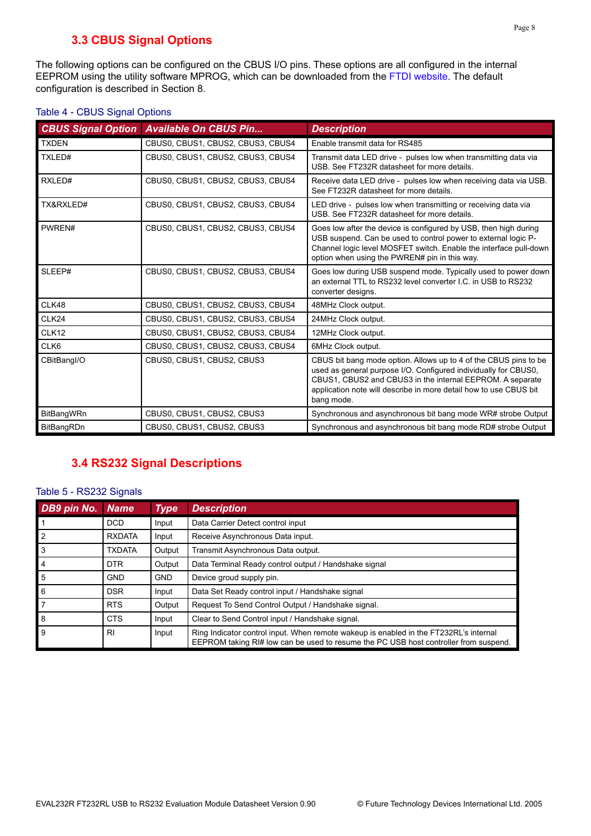## **3.3 CBUS Signal Options**

<span id="page-7-0"></span>The following options can be configured on the CBUS I/O pins. These options are all configured in the internal EEPROM using the utility software MPROG, which can be downloaded from the [FTDI website](http://www.ftdichip.com). The default configuration is described in [Section](#page-14-0) 8.

| <b>CBUS Signal Option</b> | <b>Available On CBUS Pin</b>      | <b>Description</b>                                                                                                                                                                                                                                                                  |
|---------------------------|-----------------------------------|-------------------------------------------------------------------------------------------------------------------------------------------------------------------------------------------------------------------------------------------------------------------------------------|
| <b>TXDEN</b>              | CBUS0, CBUS1, CBUS2, CBUS3, CBUS4 | Enable transmit data for RS485                                                                                                                                                                                                                                                      |
| TXLED#                    | CBUS0, CBUS1, CBUS2, CBUS3, CBUS4 | Transmit data LED drive - pulses low when transmitting data via<br>USB, See FT232R datasheet for more details.                                                                                                                                                                      |
| RXLED#                    | CBUS0, CBUS1, CBUS2, CBUS3, CBUS4 | Receive data LED drive - pulses low when receiving data via USB.<br>See FT232R datasheet for more details.                                                                                                                                                                          |
| TX&RXLED#                 | CBUS0, CBUS1, CBUS2, CBUS3, CBUS4 | LED drive - pulses low when transmitting or receiving data via<br>USB. See FT232R datasheet for more details.                                                                                                                                                                       |
| PWREN#                    | CBUS0, CBUS1, CBUS2, CBUS3, CBUS4 | Goes low after the device is configured by USB, then high during<br>USB suspend. Can be used to control power to external logic P-<br>Channel logic level MOSFET switch. Enable the interface pull-down<br>option when using the PWREN# pin in this way.                            |
| SLEEP#                    | CBUS0, CBUS1, CBUS2, CBUS3, CBUS4 | Goes low during USB suspend mode. Typically used to power down<br>an external TTL to RS232 level converter I.C. in USB to RS232<br>converter designs.                                                                                                                               |
| CLK48                     | CBUS0, CBUS1, CBUS2, CBUS3, CBUS4 | 48MHz Clock output.                                                                                                                                                                                                                                                                 |
| CLK24                     | CBUS0, CBUS1, CBUS2, CBUS3, CBUS4 | 24MHz Clock output.                                                                                                                                                                                                                                                                 |
| CLK12                     | CBUS0, CBUS1, CBUS2, CBUS3, CBUS4 | 12MHz Clock output.                                                                                                                                                                                                                                                                 |
| CLK6                      | CBUS0, CBUS1, CBUS2, CBUS3, CBUS4 | 6MHz Clock output.                                                                                                                                                                                                                                                                  |
| CBitBangl/O               | CBUS0, CBUS1, CBUS2, CBUS3        | CBUS bit bang mode option. Allows up to 4 of the CBUS pins to be<br>used as general purpose I/O. Configured individually for CBUS0,<br>CBUS1, CBUS2 and CBUS3 in the internal EEPROM. A separate<br>application note will describe in more detail how to use CBUS bit<br>bang mode. |
| <b>BitBangWRn</b>         | CBUS0, CBUS1, CBUS2, CBUS3        | Synchronous and asynchronous bit bang mode WR# strobe Output                                                                                                                                                                                                                        |
| BitBangRDn                | CBUS0, CBUS1, CBUS2, CBUS3        | Synchronous and asynchronous bit bang mode RD# strobe Output                                                                                                                                                                                                                        |

#### Table 4 - CBUS Signal Options

## **3.4 RS232 Signal Descriptions**

#### Table 5 - RS232 Signals

| DB9 pin No.    | <b>Name</b>   | <b>Type</b> | <b>Description</b>                                                                                                                                                            |
|----------------|---------------|-------------|-------------------------------------------------------------------------------------------------------------------------------------------------------------------------------|
|                | <b>DCD</b>    | Input       | Data Carrier Detect control input                                                                                                                                             |
| $\overline{2}$ | <b>RXDATA</b> | Input       | Receive Asynchronous Data input.                                                                                                                                              |
| 3              | <b>TXDATA</b> | Output      | Transmit Asynchronous Data output.                                                                                                                                            |
| $\overline{4}$ | DTR.          | Output      | Data Terminal Ready control output / Handshake signal                                                                                                                         |
| 5              | <b>GND</b>    | <b>GND</b>  | Device groud supply pin.                                                                                                                                                      |
| 6              | <b>DSR</b>    | Input       | Data Set Ready control input / Handshake signal                                                                                                                               |
| 17             | <b>RTS</b>    | Output      | Request To Send Control Output / Handshake signal.                                                                                                                            |
| 8              | <b>CTS</b>    | Input       | Clear to Send Control input / Handshake signal.                                                                                                                               |
| $\overline{9}$ | RI            | Input       | Ring Indicator control input. When remote wakeup is enabled in the FT232RL's internal<br>EEPROM taking RI# low can be used to resume the PC USB host controller from suspend. |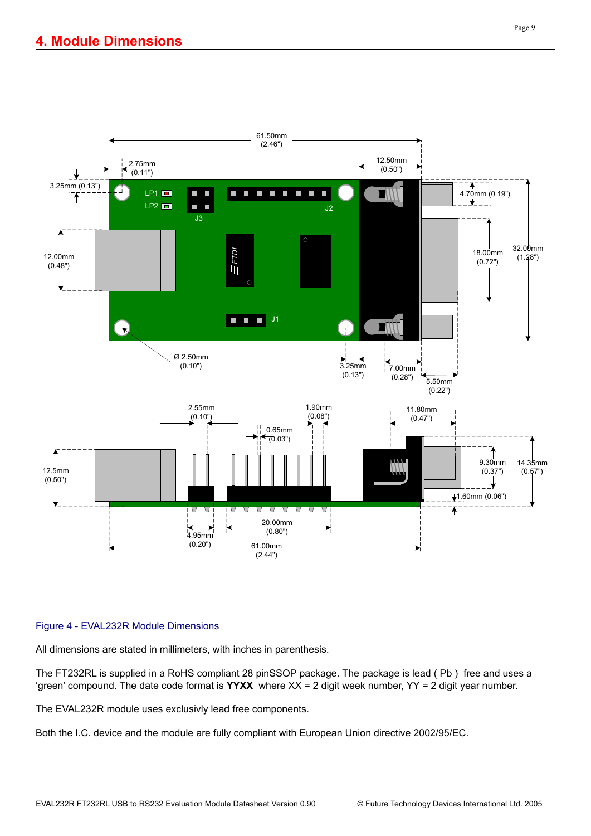

#### Figure 4 - EVAL232R Module Dimensions

All dimensions are stated in millimeters, with inches in parenthesis.

The FT232RL is supplied in a RoHS compliant 28 pinSSOP package. The package is lead ( Pb ) free and uses a 'green' compound. The date code format is **YYXX** where XX = 2 digit week number, YY = 2 digit year number.

The EVAL232R module uses exclusivly lead free components.

Both the I.C. device and the module are fully compliant with European Union directive 2002/95/EC.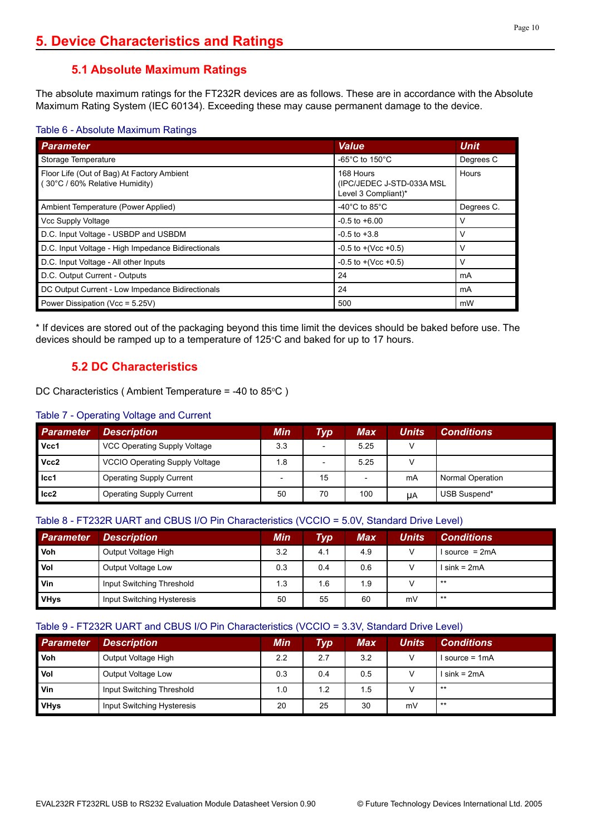## **5.1 Absolute Maximum Ratings**

The absolute maximum ratings for the FT232R devices are as follows. These are in accordance with the Absolute Maximum Rating System (IEC 60134). Exceeding these may cause permanent damage to the device.

#### Table 6 - Absolute Maximum Ratings

| <b>Parameter</b>                                                             | <b>Value</b>                                                  | <b>Unit</b> |
|------------------------------------------------------------------------------|---------------------------------------------------------------|-------------|
| Storage Temperature                                                          | -65°C to 150°C                                                | Degrees C   |
| Floor Life (Out of Bag) At Factory Ambient<br>(30°C / 60% Relative Humidity) | 168 Hours<br>(IPC/JEDEC J-STD-033A MSL<br>Level 3 Compliant)* | Hours       |
| Ambient Temperature (Power Applied)                                          | -40 $^{\circ}$ C to 85 $^{\circ}$ C                           | Degrees C.  |
| Vcc Supply Voltage                                                           | $-0.5$ to $+6.00$                                             | v           |
| D.C. Input Voltage - USBDP and USBDM                                         | $-0.5$ to $+3.8$                                              | v           |
| D.C. Input Voltage - High Impedance Bidirectionals                           | $-0.5$ to $+($ Vcc $+0.5)$                                    | ν           |
| D.C. Input Voltage - All other Inputs                                        | $-0.5$ to $+($ Vcc $+0.5)$                                    | v           |
| D.C. Output Current - Outputs                                                | 24                                                            | mA          |
| DC Output Current - Low Impedance Bidirectionals                             | 24                                                            | mA          |
| Power Dissipation (Vcc = 5.25V)                                              | 500                                                           | mW          |

\* If devices are stored out of the packaging beyond this time limit the devices should be baked before use. The devices should be ramped up to a temperature of 125°C and baked for up to 17 hours.

## **5.2 DC Characteristics**

DC Characteristics (Ambient Temperature =  $-40$  to 85 $\degree$ C)

#### Table 7 - Operating Voltage and Current

| <b>Parameter</b> | <b>Description</b>                    | Min | <b>Typ</b> | <b>Max</b> | <b>Units</b> | <b>Conditions</b> |
|------------------|---------------------------------------|-----|------------|------------|--------------|-------------------|
| Vcc1             | VCC Operating Supply Voltage          | 3.3 |            | 5.25       |              |                   |
| Vcc2             | <b>VCCIO Operating Supply Voltage</b> | 1.8 | -          | 5.25       |              |                   |
| $ $ Icc1         | <b>Operating Supply Current</b>       |     | 15         |            | mA           | Normal Operation  |
| ICc2             | <b>Operating Supply Current</b>       | 50  | 70         | 100        | UA           | USB Suspend*      |

#### Table 8 - FT232R UART and CBUS I/O Pin Characteristics (VCCIO = 5.0V, Standard Drive Level)

| <b>Parameter</b> | <b>Description</b>         | Min | <b>Typ</b> | <b>Max</b> | Units | <b>Conditions</b> |
|------------------|----------------------------|-----|------------|------------|-------|-------------------|
| Voh              | Output Voltage High        | 3.2 | 4.1        | 4.9        |       | $Isource = 2mA$   |
| Vol              | Output Voltage Low         | 0.3 | 0.4        | 0.6        |       | l sink = 2mA      |
| Vin              | Input Switching Threshold  | 1.3 | 1.6        | 1.9        |       | $***$             |
| <b>VHys</b>      | Input Switching Hysteresis | 50  | 55         | 60         | mV    | $***$             |

#### Table 9 - FT232R UART and CBUS I/O Pin Characteristics (VCCIO = 3.3V, Standard Drive Level)

| <b>Parameter</b> | <b>Description</b>         | Min | $\bm{Type}$ | <b>Max</b> | Units | <b>Conditions</b> |
|------------------|----------------------------|-----|-------------|------------|-------|-------------------|
| Voh              | Output Voltage High        | 2.2 | 2.7         | 3.2        |       | $Isource = 1mA$   |
| Vol              | Output Voltage Low         | 0.3 | 0.4         | 0.5        |       | $sin k = 2mA$     |
| Vin              | Input Switching Threshold  | 1.0 | 1.2         | 1.5        |       | $***$             |
| <b>VHys</b>      | Input Switching Hysteresis | 20  | 25          | 30         | mV    | $***$             |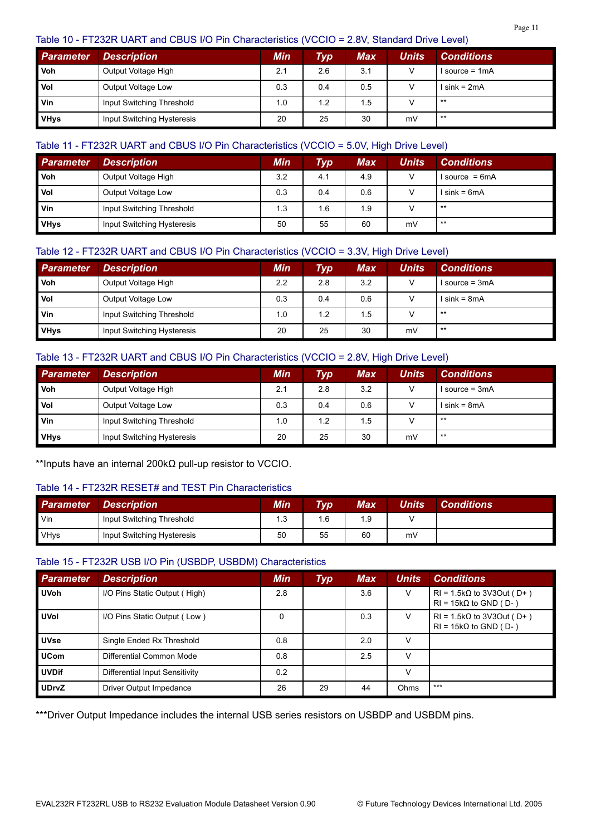#### Table 10 - FT232R UART and CBUS I/O Pin Characteristics (VCCIO = 2.8V, Standard Drive Level)

| <b>Parameter</b> | <b>Description</b>         | Min | $\tau_{\mathsf{yp}}$ | Max | Units | <b>Conditions</b> |
|------------------|----------------------------|-----|----------------------|-----|-------|-------------------|
| Voh              | Output Voltage High        | 2.1 | 2.6                  | 3.1 |       | $Isource = 1mA$   |
| Vol              | Output Voltage Low         | 0.3 | 0.4                  | 0.5 |       | l sink = 2mA      |
| <b>Vin</b>       | Input Switching Threshold  | 1.0 | 1.2                  | 1.5 |       | $***$             |
| <b>VHys</b>      | Input Switching Hysteresis | 20  | 25                   | 30  | mV    | $***$             |

#### Table 11 - FT232R UART and CBUS I/O Pin Characteristics (VCCIO = 5.0V, High Drive Level)

| <b>Parameter</b> | <b>Description</b>         | Min | <b>Typ</b> | Max | Units | <b>Conditions</b> |
|------------------|----------------------------|-----|------------|-----|-------|-------------------|
| <b>Voh</b>       | Output Voltage High        | 3.2 | 4.1        | 4.9 |       | $Isource = 6mA$   |
| Vol              | Output Voltage Low         | 0.3 | 0.4        | 0.6 |       | l sink = 6mA      |
| Vin              | Input Switching Threshold  | 1.3 | 1.6        | 1.9 |       | $***$             |
| VHys             | Input Switching Hysteresis | 50  | 55         | 60  | mV    | $***$             |

#### Table 12 - FT232R UART and CBUS I/O Pin Characteristics (VCCIO = 3.3V, High Drive Level)

| <b>Parameter</b> | <b>Description</b>         | <b>Min</b> | <b>Typ</b> | Max | Units | <b>Conditions</b> |
|------------------|----------------------------|------------|------------|-----|-------|-------------------|
| <b>Voh</b>       | Output Voltage High        | 2.2        | 2.8        | 3.2 | V     | I source = 3mA    |
| <b>Vol</b>       | Output Voltage Low         | 0.3        | 0.4        | 0.6 |       | $sin k = 8mA$     |
| <b>Vin</b>       | Input Switching Threshold  | 1.0        | 1.2        | 1.5 |       | $***$             |
| <b>VHys</b>      | Input Switching Hysteresis | 20         | 25         | 30  | mV    | $***$             |

#### Table 13 - FT232R UART and CBUS I/O Pin Characteristics (VCCIO = 2.8V, High Drive Level)

| <b>Parameter</b> | <b>Description</b>         | <b>Min</b> | Тур | <b>Max</b> | <b>Units</b> | <b>Conditions</b> |
|------------------|----------------------------|------------|-----|------------|--------------|-------------------|
| <b>Voh</b>       | Output Voltage High        | 2.1        | 2.8 | 3.2        |              | $Isource = 3mA$   |
| <b>Vol</b>       | Output Voltage Low         | 0.3        | 0.4 | 0.6        |              | l sink = 8mA      |
| Vin              | Input Switching Threshold  | 1.0        | 1.2 | 1.5        |              | $***$             |
| <b>VHys</b>      | Input Switching Hysteresis | 20         | 25  | 30         | mV           | $***$             |

\*\*Inputs have an internal 200kΩ pull-up resistor to VCCIO.

#### Table 14 - FT232R RESET# and TEST Pin Characteristics

| <b>Parameter</b> | <b>Description</b>         | Min | <b>Typ</b> | <b>Max</b> | Units | <b>Conditions</b> |
|------------------|----------------------------|-----|------------|------------|-------|-------------------|
| Vin              | Input Switching Threshold  | 1.3 | I.6        | 1.9        |       |                   |
| <b>VHys</b>      | Input Switching Hysteresis | 50  | 55         | 60         | mV    |                   |

#### Table 15 - FT232R USB I/O Pin (USBDP, USBDM) Characteristics

| <b>Parameter</b> | <b>Description</b>             | <b>Min</b> | <b>Typ</b> | <b>Max</b> | <b>Units</b> | <b>Conditions</b>                                                |
|------------------|--------------------------------|------------|------------|------------|--------------|------------------------------------------------------------------|
| <b>UVoh</b>      | I/O Pins Static Output (High)  | 2.8        |            | 3.6        | V            | $RI = 1.5k\Omega$ to 3V3Out (D+)<br>$RI = 15k\Omega$ to GND (D-) |
| <b>UVol</b>      | I/O Pins Static Output (Low)   | 0          |            | 0.3        | v            | $RI = 1.5k\Omega$ to 3V3Out (D+)<br>$RI = 15k\Omega$ to GND (D-) |
| <b>UVse</b>      | Single Ended Rx Threshold      | 0.8        |            | 2.0        | v            |                                                                  |
| <b>UCom</b>      | Differential Common Mode       | 0.8        |            | 2.5        | V            |                                                                  |
| <b>UVDif</b>     | Differential Input Sensitivity | 0.2        |            |            | V            |                                                                  |
| <b>UDrvZ</b>     | Driver Output Impedance        | 26         | 29         | 44         | <b>Ohms</b>  | $***$                                                            |

\*\*\*Driver Output Impedance includes the internal USB series resistors on USBDP and USBDM pins.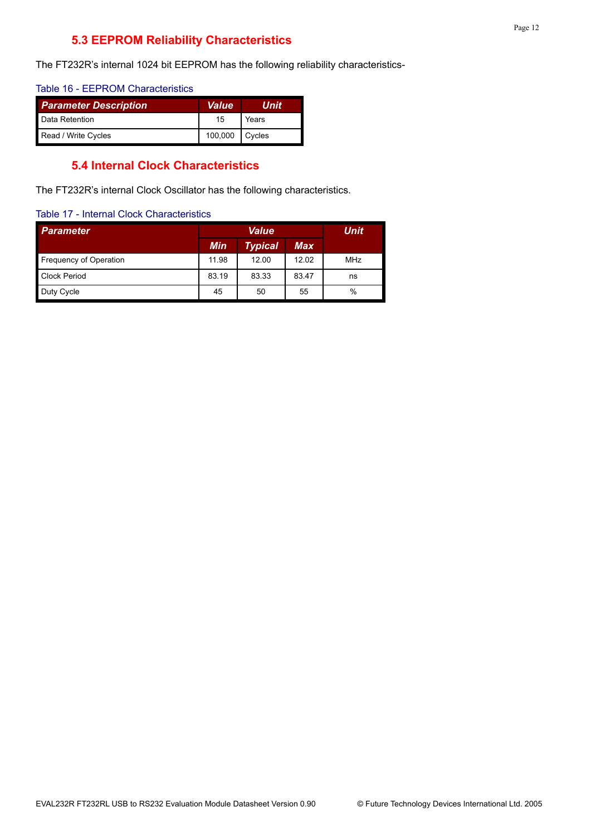## **5.3 EEPROM Reliability Characteristics**

The FT232R's internal 1024 bit EEPROM has the following reliability characteristics-

#### Table 16 - EEPROM Characteristics

| <b>Parameter Description</b> | <b>Value</b> | Unit   |  |
|------------------------------|--------------|--------|--|
| Data Retention               | 15           | Years  |  |
| Read / Write Cycles          | 100,000      | Cycles |  |

#### **5.4 Internal Clock Characteristics**

The FT232R's internal Clock Oscillator has the following characteristics.

#### Table 17 - Internal Clock Characteristics

| <b>Parameter</b>              |       | <b>Unit</b>    |       |            |
|-------------------------------|-------|----------------|-------|------------|
|                               | Min   | <b>Typical</b> | Max   |            |
| <b>Frequency of Operation</b> | 11.98 | 12.00          | 12.02 | <b>MHz</b> |
| <b>Clock Period</b>           | 83.19 | 83.33          | 83.47 | ns         |
| Duty Cycle                    | 45    | 50             | 55    | %          |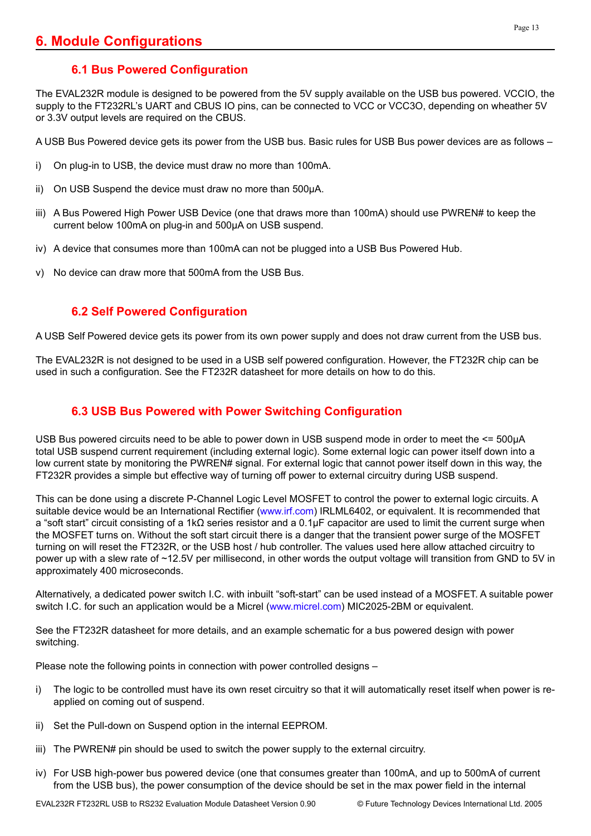## **6.1 Bus Powered Configuration**

The EVAL232R module is designed to be powered from the 5V supply available on the USB bus powered. VCCIO, the supply to the FT232RL's UART and CBUS IO pins, can be connected to VCC or VCC3O, depending on wheather 5V or 3.3V output levels are required on the CBUS.

A USB Bus Powered device gets its power from the USB bus. Basic rules for USB Bus power devices are as follows –

- i) On plug-in to USB, the device must draw no more than 100mA.
- ii) On USB Suspend the device must draw no more than 500μA.
- iii) A Bus Powered High Power USB Device (one that draws more than 100mA) should use PWREN# to keep the current below 100mA on plug-in and 500μA on USB suspend.
- iv) A device that consumes more than 100mA can not be plugged into a USB Bus Powered Hub.
- v) No device can draw more that 500mA from the USB Bus.

## **6.2 Self Powered Configuration**

A USB Self Powered device gets its power from its own power supply and does not draw current from the USB bus.

The EVAL232R is not designed to be used in a USB self powered configuration. However, the FT232R chip can be used in such a configuration. See the FT232R datasheet for more details on how to do this.

## **6.3 USB Bus Powered with Power Switching Configuration**

USB Bus powered circuits need to be able to power down in USB suspend mode in order to meet the <= 500µA total USB suspend current requirement (including external logic). Some external logic can power itself down into a low current state by monitoring the PWREN# signal. For external logic that cannot power itself down in this way, the FT232R provides a simple but effective way of turning off power to external circuitry during USB suspend.

This can be done using a discrete P-Channel Logic Level MOSFET to control the power to external logic circuits. A suitable device would be an International Rectifier [\(www.irf.com](http://www.irf.com)) IRLML6402, or equivalent. It is recommended that a "soft start" circuit consisting of a 1kΩ series resistor and a 0.1μF capacitor are used to limit the current surge when the MOSFET turns on. Without the soft start circuit there is a danger that the transient power surge of the MOSFET turning on will reset the FT232R, or the USB host / hub controller. The values used here allow attached circuitry to power up with a slew rate of ~12.5V per millisecond, in other words the output voltage will transition from GND to 5V in approximately 400 microseconds.

Alternatively, a dedicated power switch I.C. with inbuilt "soft-start" can be used instead of a MOSFET. A suitable power switch I.C. for such an application would be a Micrel ([www.micrel.com\)](http://www.micrel.com) MIC2025-2BM or equivalent.

See the FT232R datasheet for more details, and an example schematic for a bus powered design with power switching.

Please note the following points in connection with power controlled designs –

- i) The logic to be controlled must have its own reset circuitry so that it will automatically reset itself when power is reapplied on coming out of suspend.
- ii) Set the Pull-down on Suspend option in the internal EEPROM.
- iii) The PWREN# pin should be used to switch the power supply to the external circuitry.
- iv) For USB high-power bus powered device (one that consumes greater than 100mA, and up to 500mA of current from the USB bus), the power consumption of the device should be set in the max power field in the internal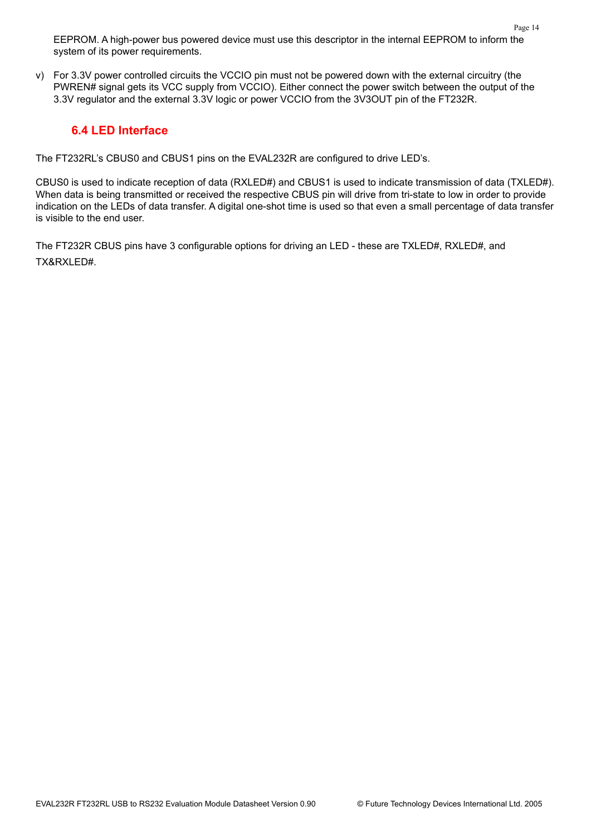EEPROM. A high-power bus powered device must use this descriptor in the internal EEPROM to inform the system of its power requirements.

v) For 3.3V power controlled circuits the VCCIO pin must not be powered down with the external circuitry (the PWREN# signal gets its VCC supply from VCCIO). Either connect the power switch between the output of the 3.3V regulator and the external 3.3V logic or power VCCIO from the 3V3OUT pin of the FT232R.

#### **6.4 LED Interface**

The FT232RL's CBUS0 and CBUS1 pins on the EVAL232R are configured to drive LED's.

CBUS0 is used to indicate reception of data (RXLED#) and CBUS1 is used to indicate transmission of data (TXLED#). When data is being transmitted or received the respective CBUS pin will drive from tri-state to low in order to provide indication on the LEDs of data transfer. A digital one-shot time is used so that even a small percentage of data transfer is visible to the end user.

The FT232R CBUS pins have 3 configurable options for driving an LED - these are TXLED#, RXLED#, and TX&RXLED#.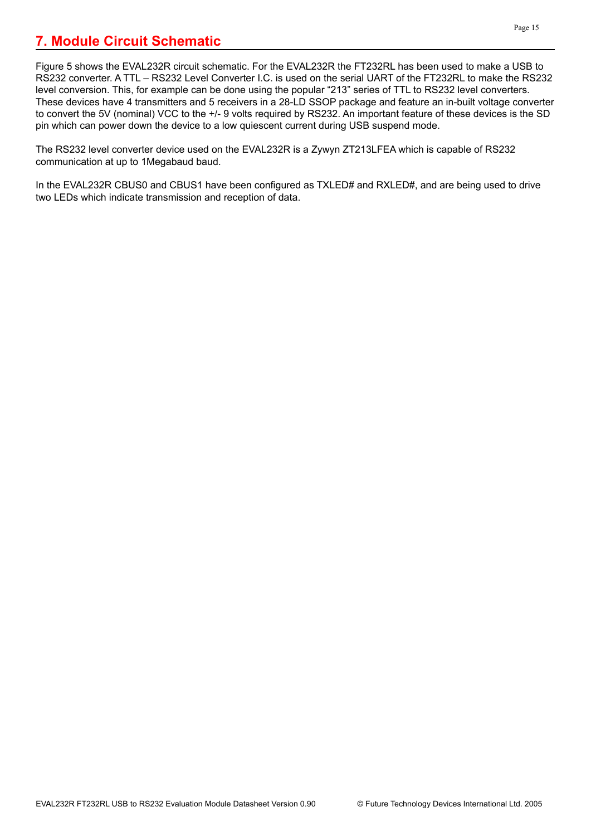<span id="page-14-0"></span>Figure 5 shows the EVAL232R circuit schematic. For the EVAL232R the FT232RL has been used to make a USB to RS232 converter. A TTL – RS232 Level Converter I.C. is used on the serial UART of the FT232RL to make the RS232 level conversion. This, for example can be done using the popular "213" series of TTL to RS232 level converters. These devices have 4 transmitters and 5 receivers in a 28-LD SSOP package and feature an in-built voltage converter to convert the 5V (nominal) VCC to the +/- 9 volts required by RS232. An important feature of these devices is the SD pin which can power down the device to a low quiescent current during USB suspend mode.

The RS232 level converter device used on the EVAL232R is a Zywyn ZT213LFEA which is capable of RS232 communication at up to 1Megabaud baud.

In the EVAL232R CBUS0 and CBUS1 have been configured as TXLED# and RXLED#, and are being used to drive two LEDs which indicate transmission and reception of data.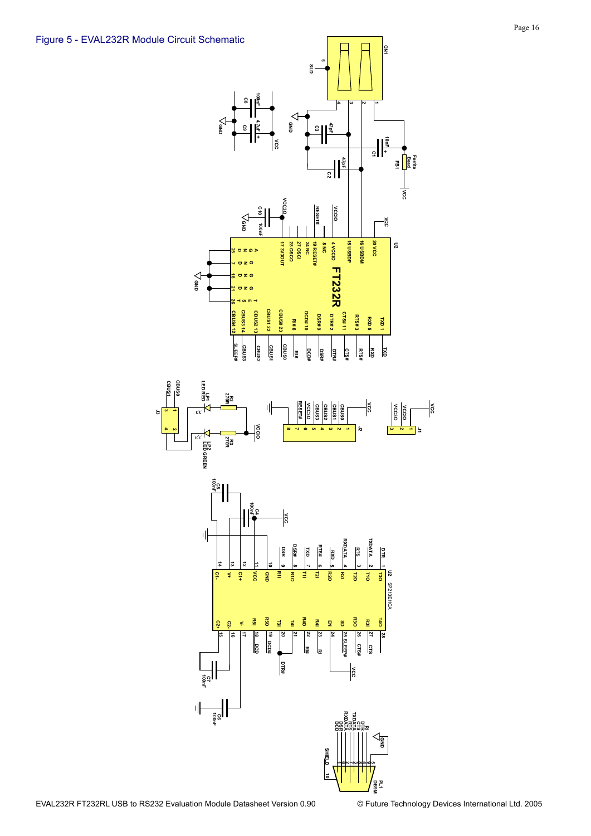**J3**



**10**

**DB9M PL1**

 $\frac{1}{2}$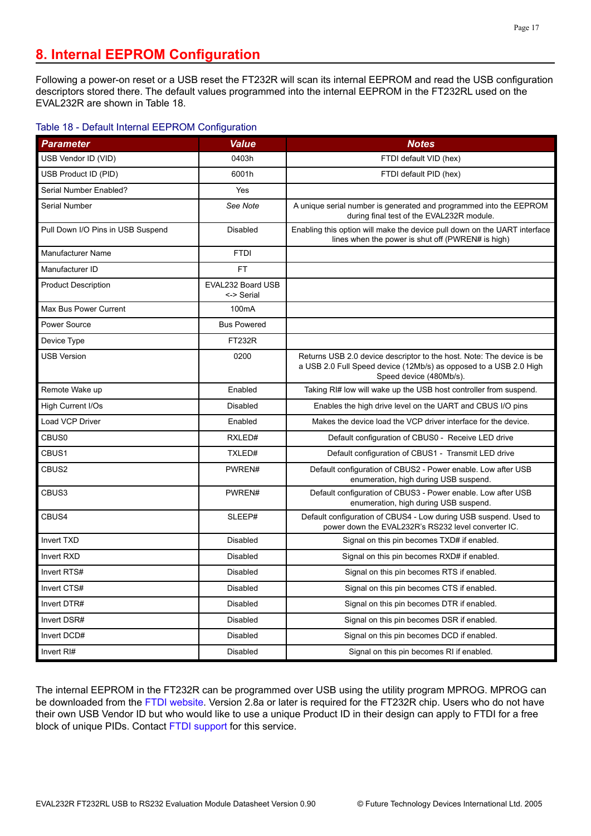## **8. Internal EEPROM Configuration**

Following a power-on reset or a USB reset the FT232R will scan its internal EEPROM and read the USB configuration descriptors stored there. The default values programmed into the internal EEPROM in the FT232RL used on the EVAL232R are shown in Table 18.

#### Table 18 - Default Internal EEPROM Configuration

| <b>Parameter</b>                  | <b>Value</b>                    | <b>Notes</b>                                                                                                                                                          |
|-----------------------------------|---------------------------------|-----------------------------------------------------------------------------------------------------------------------------------------------------------------------|
| USB Vendor ID (VID)               | 0403h                           | FTDI default VID (hex)                                                                                                                                                |
| USB Product ID (PID)              | 6001h                           | FTDI default PID (hex)                                                                                                                                                |
| Serial Number Enabled?            | Yes                             |                                                                                                                                                                       |
| Serial Number                     | See Note                        | A unique serial number is generated and programmed into the EEPROM<br>during final test of the EVAL232R module.                                                       |
| Pull Down I/O Pins in USB Suspend | Disabled                        | Enabling this option will make the device pull down on the UART interface<br>lines when the power is shut off (PWREN# is high)                                        |
| Manufacturer Name                 | <b>FTDI</b>                     |                                                                                                                                                                       |
| Manufacturer ID                   | <b>FT</b>                       |                                                                                                                                                                       |
| <b>Product Description</b>        | EVAL232 Board USB<br><-> Serial |                                                                                                                                                                       |
| Max Bus Power Current             | 100 <sub>m</sub> A              |                                                                                                                                                                       |
| Power Source                      | <b>Bus Powered</b>              |                                                                                                                                                                       |
| Device Type                       | <b>FT232R</b>                   |                                                                                                                                                                       |
| <b>USB Version</b>                | 0200                            | Returns USB 2.0 device descriptor to the host. Note: The device is be<br>a USB 2.0 Full Speed device (12Mb/s) as opposed to a USB 2.0 High<br>Speed device (480Mb/s). |
| Remote Wake up                    | Enabled                         | Taking RI# low will wake up the USB host controller from suspend.                                                                                                     |
| High Current I/Os                 | Disabled                        | Enables the high drive level on the UART and CBUS I/O pins                                                                                                            |
| Load VCP Driver                   | Enabled                         | Makes the device load the VCP driver interface for the device.                                                                                                        |
| CBUS0                             | RXLED#                          | Default configuration of CBUS0 - Receive LED drive                                                                                                                    |
| CBUS1                             | TXLED#                          | Default configuration of CBUS1 - Transmit LED drive                                                                                                                   |
| CBUS2                             | PWREN#                          | Default configuration of CBUS2 - Power enable. Low after USB<br>enumeration, high during USB suspend.                                                                 |
| CBUS3                             | PWREN#                          | Default configuration of CBUS3 - Power enable. Low after USB<br>enumeration, high during USB suspend.                                                                 |
| CBUS4                             | SLEEP#                          | Default configuration of CBUS4 - Low during USB suspend. Used to<br>power down the EVAL232R's RS232 level converter IC.                                               |
| <b>Invert TXD</b>                 | <b>Disabled</b>                 | Signal on this pin becomes TXD# if enabled.                                                                                                                           |
| Invert RXD                        | Disabled                        | Signal on this pin becomes RXD# if enabled.                                                                                                                           |
| Invert RTS#                       | Disabled                        | Signal on this pin becomes RTS if enabled.                                                                                                                            |
| Invert CTS#                       | Disabled                        | Signal on this pin becomes CTS if enabled.                                                                                                                            |
| Invert DTR#                       | Disabled                        | Signal on this pin becomes DTR if enabled.                                                                                                                            |
| Invert DSR#                       | Disabled                        | Signal on this pin becomes DSR if enabled.                                                                                                                            |
| Invert DCD#                       | Disabled                        | Signal on this pin becomes DCD if enabled.                                                                                                                            |
| Invert RI#                        | Disabled                        | Signal on this pin becomes RI if enabled.                                                                                                                             |

The internal EEPROM in the FT232R can be programmed over USB using the utility program MPROG. MPROG can be downloaded from the [FTDI website.](http://www.ftdichip.com) Version 2.8a or later is required for the FT232R chip. Users who do not have their own USB Vendor ID but who would like to use a unique Product ID in their design can apply to FTDI for a free block of unique PIDs. Contact [FTDI support](mailto:support1@ftdichip.com) for this service.